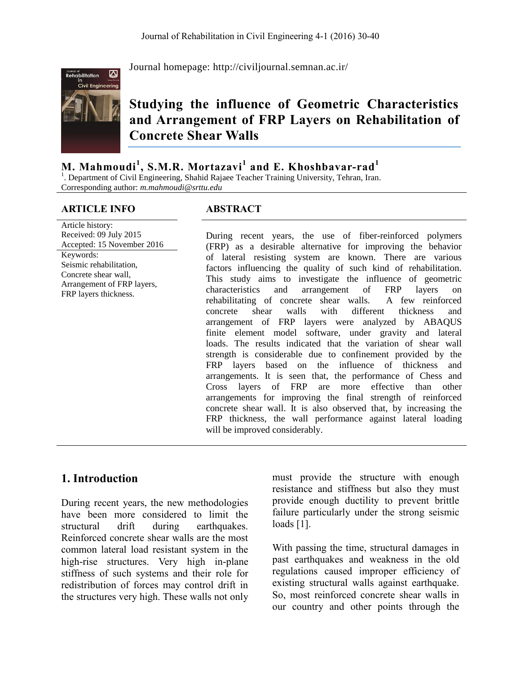

Journal homepage:<http://civiljournal.semnan.ac.ir/>

# **Studying the influence of Geometric Characteristics and Arrangement of FRP Layers on Rehabilitation of Concrete Shear Walls**

**M. Mahmoudi<sup>1</sup> , S.M.R. Mortazavi<sup>1</sup> and E. Khoshbavar-rad<sup>1</sup>**

<sup>1</sup>. Department of Civil Engineering, Shahid Rajaee Teacher Training University, Tehran, Iran. Corresponding author: *[m.mahmoudi@srttu.edu](mailto:m.mahmoudi@srttu.edu)*

#### **ARTICLE INFO ABSTRACT**

Article history: Received: 09 July 2015 Accepted: 15 November 2016 Keywords: Seismic rehabilitation, Concrete shear wall, Arrangement of FRP layers, FRP layers thickness.

During recent years, the use of fiber-reinforced polymers (FRP) as a desirable alternative for improving the behavior of lateral resisting system are known. There are various factors influencing the quality of such kind of rehabilitation. This study aims to investigate the influence of geometric characteristics and arrangement of FRP layers on rehabilitating of concrete shear walls. A few reinforced concrete shear walls with different thickness and arrangement of FRP layers were analyzed by ABAQUS finite element model software, under gravity and lateral loads. The results indicated that the variation of shear wall strength is considerable due to confinement provided by the FRP layers based on the influence of thickness and arrangements. It is seen that, the performance of Chess and Cross layers of FRP are more effective than other arrangements for improving the final strength of reinforced concrete shear wall. It is also observed that, by increasing the FRP thickness, the wall performance against lateral loading will be improved considerably.

## **1. Introduction**

During recent years, the new methodologies have been more considered to limit the structural drift during earthquakes. Reinforced concrete shear walls are the most common lateral load resistant system in the high-rise structures. Very high in-plane stiffness of such systems and their role for redistribution of forces may control drift in the structures very high. These walls not only must provide the structure with enough resistance and stiffness but also they must provide enough ductility to prevent brittle failure particularly under the strong seismic loads [1].

With passing the time, structural damages in past earthquakes and weakness in the old regulations caused improper efficiency of existing structural walls against earthquake. So, most reinforced concrete shear walls in our country and other points through the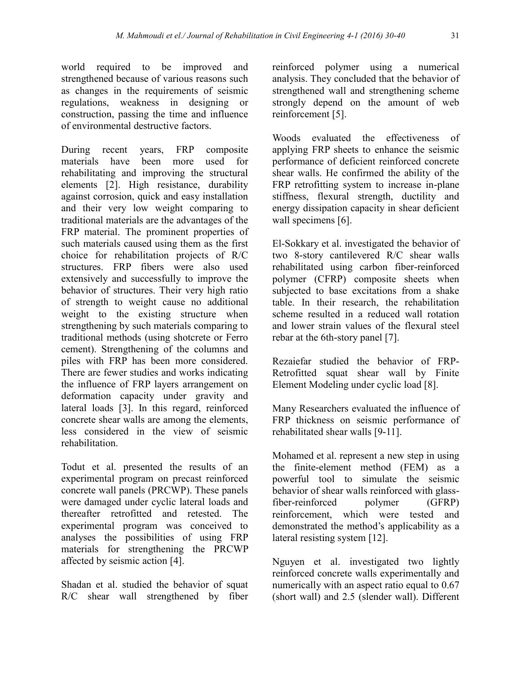world required to be improved and strengthened because of various reasons such as changes in the requirements of seismic regulations, weakness in designing or construction, passing the time and influence of environmental destructive factors.

During recent years, FRP composite materials have been more used for rehabilitating and improving the structural elements [2]. High resistance, durability against corrosion, quick and easy installation and their very low weight comparing to traditional materials are the advantages of the FRP material. The prominent properties of such materials caused using them as the first choice for rehabilitation projects of R/C structures. FRP fibers were also used extensively and successfully to improve the behavior of structures. Their very high ratio of strength to weight cause no additional weight to the existing structure when strengthening by such materials comparing to traditional methods (using shotcrete or Ferro cement). Strengthening of the columns and piles with FRP has been more considered. There are fewer studies and works indicating the influence of FRP layers arrangement on deformation capacity under gravity and lateral loads [3]. In this regard, reinforced concrete shear walls are among the elements, less considered in the view of seismic rehabilitation.

Todut et al. presented the results of an experimental program on precast reinforced concrete wall panels (PRCWP). These panels were damaged under cyclic lateral loads and thereafter retrofitted and retested. The experimental program was conceived to analyses the possibilities of using FRP materials for strengthening the PRCWP affected by seismic action [4].

Shadan et al. studied the behavior of squat R/C shear wall strengthened by fiber reinforced polymer using a numerical analysis. They concluded that the behavior of strengthened wall and strengthening scheme strongly depend on the amount of web reinforcement [5].

[Woods](https://www.researchgate.net/profile/Josh_Woods3) evaluated the effectiveness of applying FRP sheets to enhance the seismic performance of deficient reinforced concrete shear walls. He confirmed the ability of the FRP retrofitting system to increase in-plane stiffness, flexural strength, ductility and energy dissipation capacity in shear deficient wall specimens [6].

El-Sokkary et al. investigated the behavior of two 8-story cantilevered R/C shear walls rehabilitated using carbon fiber-reinforced polymer (CFRP) composite sheets when subjected to base excitations from a shake table. In their research, the rehabilitation scheme resulted in a reduced wall rotation and lower strain values of the flexural steel rebar at the 6th-story panel [7].

Rezaiefar studied the behavior of FRP-Retrofitted squat shear wall by Finite Element Modeling under cyclic load [8].

Many Researchers evaluated the influence of FRP thickness on seismic performance of rehabilitated shear walls [9-11].

Mohamed et al. represent a new step in using the finite-element method (FEM) as a powerful tool to simulate the seismic behavior of shear walls reinforced with glassfiber-reinforced polymer (GFRP) reinforcement, which were tested and demonstrated the method's applicability as a lateral resisting system [12].

Nguyen et al. investigated two lightly reinforced concrete walls experimentally and numerically with an aspect ratio equal to 0.67 (short wall) and 2.5 (slender wall). Different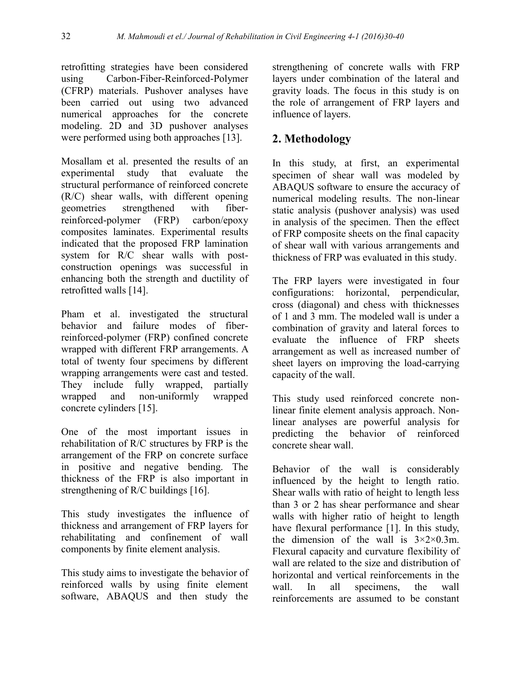retrofitting strategies have been considered using Carbon-Fiber-Reinforced-Polymer (CFRP) materials. Pushover analyses have been carried out using two advanced numerical approaches for the concrete modeling. 2D and 3D pushover analyses were performed using both approaches [13].

Mosallam et al. presented the results of an experimental study that evaluate the structural performance of reinforced concrete (R/C) shear walls, with different opening geometries strengthened with fiberreinforced-polymer (FRP) carbon/epoxy composites laminates. Experimental results indicated that the proposed FRP lamination system for R/C shear walls with postconstruction openings was successful in enhancing both the strength and ductility of retrofitted walls [14].

Pham et al. investigated the structural behavior and failure modes of fiberreinforced-polymer (FRP) confined concrete wrapped with different FRP arrangements. A total of twenty four specimens by different wrapping arrangements were cast and tested. They include fully wrapped, partially wrapped and non-uniformly wrapped concrete cylinders [15].

One of the most important issues in rehabilitation of R/C structures by FRP is the arrangement of the FRP on concrete surface in positive and negative bending. The thickness of the FRP is also important in strengthening of R/C buildings [16].

This study investigates the influence of thickness and arrangement of FRP layers for rehabilitating and confinement of wall components by finite element analysis.

This study aims to investigate the behavior of reinforced walls by using finite element software, ABAQUS and then study the

strengthening of concrete walls with FRP layers under combination of the lateral and gravity loads. The focus in this study is on the role of arrangement of FRP layers and influence of layers.

## **2. Methodology**

In this study, at first, an experimental specimen of shear wall was modeled by ABAQUS software to ensure the accuracy of numerical modeling results. The non-linear static analysis (pushover analysis) was used in analysis of the specimen. Then the effect of FRP composite sheets on the final capacity of shear wall with various arrangements and thickness of FRP was evaluated in this study.

The FRP layers were investigated in four configurations: horizontal, perpendicular, cross (diagonal) and chess with thicknesses of 1 and 3 mm. The modeled wall is under a combination of gravity and lateral forces to evaluate the influence of FRP sheets arrangement as well as increased number of sheet layers on improving the load-carrying capacity of the wall.

This study used reinforced concrete nonlinear finite element analysis approach. Nonlinear analyses are powerful analysis for predicting the behavior of reinforced concrete shear wall.

Behavior of the wall is considerably influenced by the height to length ratio. Shear walls with ratio of height to length less than 3 or 2 has shear performance and shear walls with higher ratio of height to length have flexural performance [1]. In this study, the dimension of the wall is  $3\times2\times0.3$ m. Flexural capacity and curvature flexibility of wall are related to the size and distribution of horizontal and vertical reinforcements in the wall. In all specimens, the wall reinforcements are assumed to be constant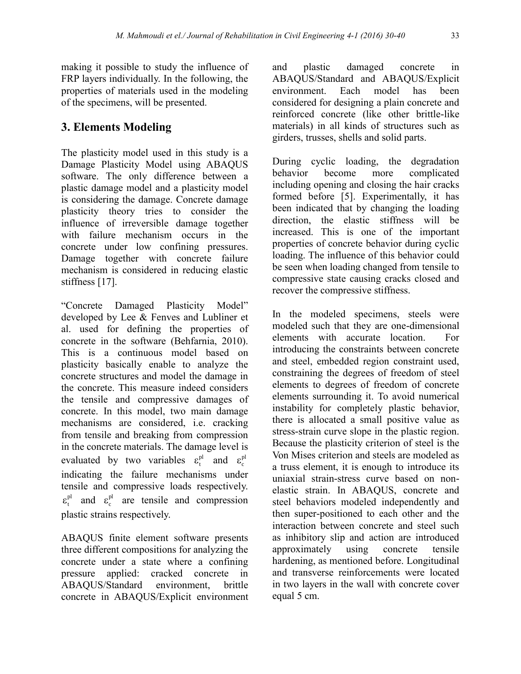making it possible to study the influence of FRP layers individually. In the following, the properties of materials used in the modeling of the specimens, will be presented.

## **3. Elements Modeling**

The plasticity model used in this study is a Damage Plasticity Model using ABAQUS software. The only difference between a plastic damage model and a plasticity model is considering the damage. Concrete damage plasticity theory tries to consider the influence of irreversible damage together with failure mechanism occurs in the concrete under low confining pressures. Damage together with concrete failure mechanism is considered in reducing elastic stiffness [17].

"Concrete Damaged Plasticity Model" developed by Lee & Fenves and Lubliner et al. used for defining the properties of concrete in the software (Behfarnia, 2010). This is a continuous model based on plasticity basically enable to analyze the concrete structures and model the damage in the concrete. This measure indeed considers the tensile and compressive damages of concrete. In this model, two main damage mechanisms are considered, i.e. cracking from tensile and breaking from compression in the concrete materials. The damage level is evaluated by two variables  $\varepsilon_t^{pl}$  and  $\varepsilon_c^{pl}$ indicating the failure mechanisms under tensile and compressive loads respectively.  $\epsilon_t^{pl}$  and  $\epsilon_c^{pl}$  are tensile and compression plastic strains respectively.

ABAQUS finite element software presents three different compositions for analyzing the concrete under a state where a confining pressure applied: cracked concrete in ABAQUS/Standard environment, brittle concrete in ABAQUS/Explicit environment

and plastic damaged concrete in ABAQUS/Standard and ABAQUS/Explicit environment. Each model has been considered for designing a plain concrete and reinforced concrete (like other brittle-like materials) in all kinds of structures such as girders, trusses, shells and solid parts.

During cyclic loading, the degradation behavior become more complicated including opening and closing the hair cracks formed before [5]. Experimentally, it has been indicated that by changing the loading direction, the elastic stiffness will be increased. This is one of the important properties of concrete behavior during cyclic loading. The influence of this behavior could be seen when loading changed from tensile to compressive state causing cracks closed and recover the compressive stiffness.

In the modeled specimens, steels were modeled such that they are one-dimensional elements with accurate location. For introducing the constraints between concrete and steel, embedded region constraint used, constraining the degrees of freedom of steel elements to degrees of freedom of concrete elements surrounding it. To avoid numerical instability for completely plastic behavior, there is allocated a small positive value as stress-strain curve slope in the plastic region. Because the plasticity criterion of steel is the Von Mises criterion and steels are modeled as a truss element, it is enough to introduce its uniaxial strain-stress curve based on nonelastic strain. In ABAQUS, concrete and steel behaviors modeled independently and then super-positioned to each other and the interaction between concrete and steel such as inhibitory slip and action are introduced approximately using concrete tensile hardening, as mentioned before. Longitudinal and transverse reinforcements were located in two layers in the wall with concrete cover equal 5 cm.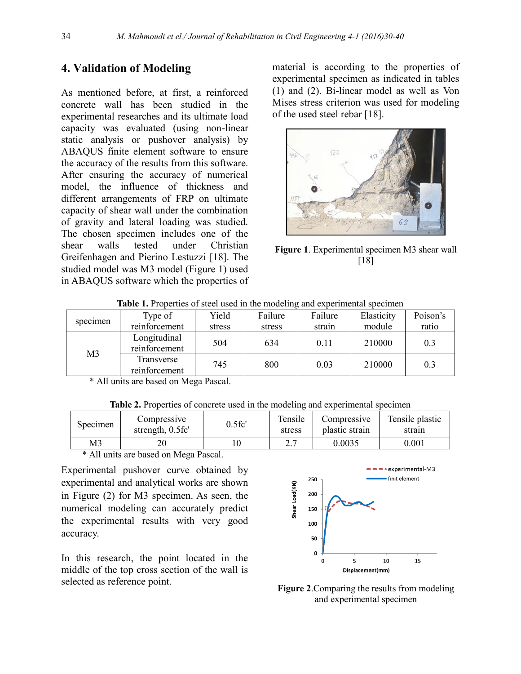## **4. Validation of Modeling**

As mentioned before, at first, a reinforced concrete wall has been studied in the experimental researches and its ultimate load capacity was evaluated (using non-linear static analysis or pushover analysis) by ABAQUS finite element software to ensure the accuracy of the results from this software. After ensuring the accuracy of numerical model, the influence of thickness and different arrangements of FRP on ultimate capacity of shear wall under the combination of gravity and lateral loading was studied. The chosen specimen includes one of the shear walls tested under Christian Greifenhagen and Pierino Lestuzzi [18]. The studied model was M3 model (Figure 1) used in ABAQUS software which the properties of material is according to the properties of experimental specimen as indicated in tables (1) and (2). Bi-linear model as well as Von Mises stress criterion was used for modeling of the used steel rebar [18].



**Figure 1**. Experimental specimen M3 shear wall [18]

| specimen                                                                                                                                                                                                                                                                                                | Type of                       | Yield  | Failure | Failure | Elasticity | Poison's |
|---------------------------------------------------------------------------------------------------------------------------------------------------------------------------------------------------------------------------------------------------------------------------------------------------------|-------------------------------|--------|---------|---------|------------|----------|
|                                                                                                                                                                                                                                                                                                         | reinforcement                 | stress | stress  | strain  | module     | ratio    |
| M <sub>3</sub>                                                                                                                                                                                                                                                                                          | Longitudinal<br>reinforcement | 504    | 634     | 0.11    | 210000     | 0.3      |
|                                                                                                                                                                                                                                                                                                         | Transverse<br>reinforcement   | 745    | 800     | 0.03    | 210000     | 0.3      |
| $\star$ $\star$ 1 1 1 1 $\star$ 1 1 1 1 1 $\star$ 1 1 1 $\star$ 1 1 $\star$ 1 1 $\star$ 1 1 $\star$ 1 1 $\star$ 1 1 $\star$ 1 1 $\star$ 1 1 $\star$ 1 1 $\star$ 1 1 $\star$ 1 1 $\star$ 1 1 $\star$ 1 1 $\star$ 1 1 $\star$ 1 1 $\star$ 1 $\star$ 1 1 $\star$ 1 $\star$ 1 $\star$ 1 $\star$ 1 $\star$ 1 |                               |        |         |         |            |          |

**Table 1.** Properties of steel used in the modeling and experimental specimen

All units are based on Mega Pascal.

| <b>Table 2.</b> Properties of concrete used in the modeling and experimental specimen |  |  |
|---------------------------------------------------------------------------------------|--|--|
|                                                                                       |  |  |

| Specimen | Compressive<br>strength, 0.5fc' | $0.5$ fc' | Tensile<br>stress | Compressive<br>plastic strain | Tensile plastic<br>strain |
|----------|---------------------------------|-----------|-------------------|-------------------------------|---------------------------|
| M3       |                                 |           | <u>.</u>          | 0.0035                        | $0.001\,$                 |
| .        |                                 |           |                   |                               |                           |

\* All units are based on Mega Pascal.

Experimental pushover curve obtained by experimental and analytical works are shown in Figure (2) for M3 specimen. As seen, the numerical modeling can accurately predict the experimental results with very good accuracy.

In this research, the point located in the middle of the top cross section of the wall is selected as reference point.



**Figure 2**.Comparing the results from modeling and experimental specimen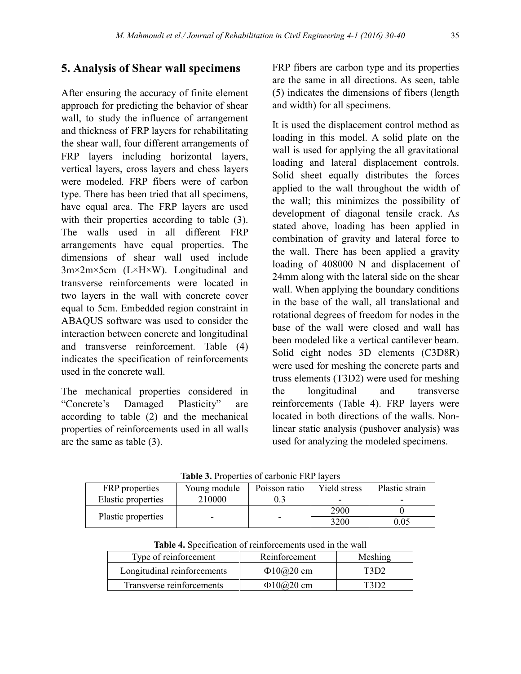## **5. Analysis of Shear wall specimens**

After ensuring the accuracy of finite element approach for predicting the behavior of shear wall, to study the influence of arrangement and thickness of FRP layers for rehabilitating the shear wall, four different arrangements of FRP layers including horizontal layers, vertical layers, cross layers and chess layers were modeled. FRP fibers were of carbon type. There has been tried that all specimens, have equal area. The FRP layers are used with their properties according to table  $(3)$ . The walls used in all different FRP arrangements have equal properties. The dimensions of shear wall used include 3m×2m×5cm (L×H×W). Longitudinal and transverse reinforcements were located in two layers in the wall with concrete cover equal to 5cm. Embedded region constraint in ABAQUS software was used to consider the interaction between concrete and longitudinal and transverse reinforcement. Table (4) indicates the specification of reinforcements used in the concrete wall.

The mechanical properties considered in "Concrete's Damaged Plasticity" are according to table (2) and the mechanical properties of reinforcements used in all walls are the same as table (3).

FRP fibers are carbon type and its properties are the same in all directions. As seen, table (5) indicates the dimensions of fibers (length and width) for all specimens.

It is used the displacement control method as loading in this model. A solid plate on the wall is used for applying the all gravitational loading and lateral displacement controls. Solid sheet equally distributes the forces applied to the wall throughout the width of the wall; this minimizes the possibility of development of diagonal tensile crack. As stated above, loading has been applied in combination of gravity and lateral force to the wall. There has been applied a gravity loading of 408000 N and displacement of 24mm along with the lateral side on the shear wall. When applying the boundary conditions in the base of the wall, all translational and rotational degrees of freedom for nodes in the base of the wall were closed and wall has been modeled like a vertical cantilever beam. Solid eight nodes 3D elements (C3D8R) were used for meshing the concrete parts and truss elements (T3D2) were used for meshing the longitudinal and transverse reinforcements (Table 4). FRP layers were located in both directions of the walls. Nonlinear static analysis (pushover analysis) was used for analyzing the modeled specimens.

| FRP properties     | Young module | Poisson ratio | Yield stress | Plastic strain |  |  |
|--------------------|--------------|---------------|--------------|----------------|--|--|
| Elastic properties | 210000       |               |              |                |  |  |
|                    |              |               | 2900         |                |  |  |
| Plastic properties |              |               | 3200         |                |  |  |

**Table 3.** Properties of carbonic FRP layers

| <b>Table 4.</b> Specification of reinforcements used in the wall |                          |         |  |  |  |
|------------------------------------------------------------------|--------------------------|---------|--|--|--|
| Type of reinforcement                                            | Reinforcement            | Meshing |  |  |  |
| Longitudinal reinforcements                                      | $\Phi$ 10 $\omega$ 20 cm | T3D2    |  |  |  |
| Transverse reinforcements                                        | $\Phi$ 10 $\omega$ 20 cm | T3D2    |  |  |  |

**Table 4.** Specification of reinforcements used in the wall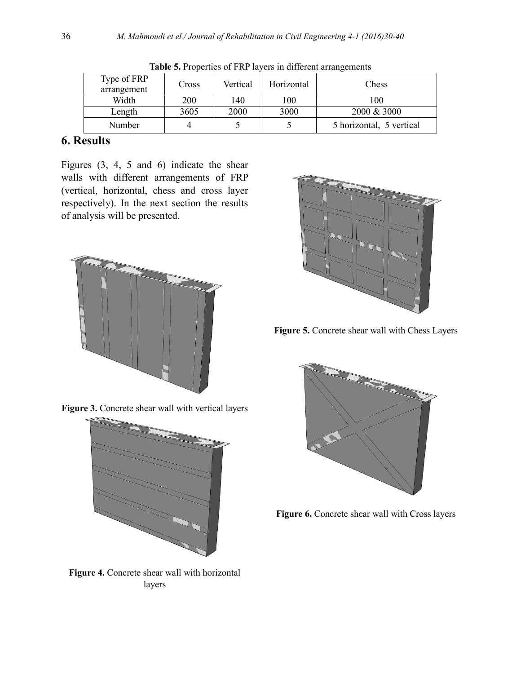| Type of FRP | Cross | Vertical | Horizontal | Chess                    |
|-------------|-------|----------|------------|--------------------------|
| arrangement |       |          |            |                          |
| Width       | 200   | 140      | $_{00}$    | 100                      |
| Length      | 3605  | 2000     | 3000       | $2000 \& 3000$           |
| Number      |       |          |            | 5 horizontal, 5 vertical |

**Table 5.** Properties of FRP layers in different arrangements

## **6. Results**

Figures (3, 4, 5 and 6) indicate the shear walls with different arrangements of FRP (vertical, horizontal, chess and cross layer respectively). In the next section the results of analysis will be presented.





**Figure 3.** Concrete shear wall with vertical layers

**Figure 4.** Concrete shear wall with horizontal layers



**Figure 5.** Concrete shear wall with Chess Layers



**Figure 6.** Concrete shear wall with Cross layers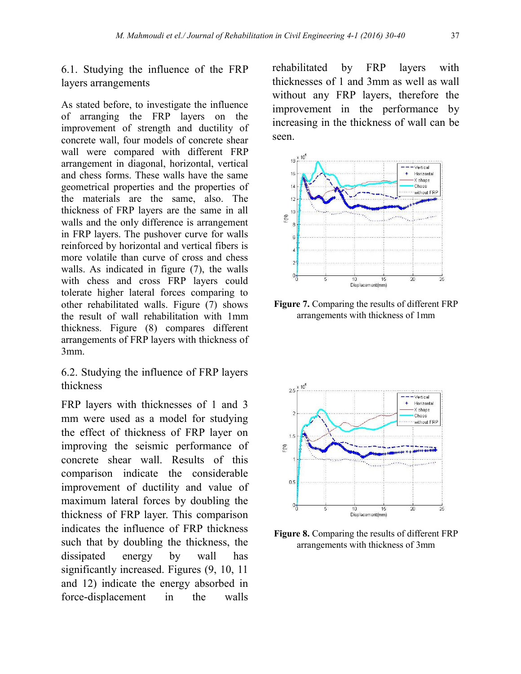6.1. Studying the influence of the FRP layers arrangements

As stated before, to investigate the influence of arranging the FRP layers on the improvement of strength and ductility of concrete wall, four models of concrete shear wall were compared with different FRP arrangement in diagonal, horizontal, vertical and chess forms. These walls have the same geometrical properties and the properties of the materials are the same, also. The thickness of FRP layers are the same in all walls and the only difference is arrangement in FRP layers. The pushover curve for walls reinforced by horizontal and vertical fibers is more volatile than curve of cross and chess walls. As indicated in figure (7), the walls with chess and cross FRP layers could tolerate higher lateral forces comparing to other rehabilitated walls. Figure (7) shows the result of wall rehabilitation with 1mm thickness. Figure (8) compares different arrangements of FRP layers with thickness of 3mm.

6.2. Studying the influence of FRP layers thickness

FRP layers with thicknesses of 1 and 3 mm were used as a model for studying the effect of thickness of FRP layer on improving the seismic performance of concrete shear wall. Results of this comparison indicate the considerable improvement of ductility and value of maximum lateral forces by doubling the thickness of FRP layer. This comparison indicates the influence of FRP thickness such that by doubling the thickness, the dissipated energy by wall has significantly increased. Figures  $(9, 10, 11)$ and 12) indicate the energy absorbed in force-displacement in the walls

rehabilitated by FRP layers with thicknesses of 1 and 3mm as well as wall without any FRP layers, therefore the improvement in the performance by increasing in the thickness of wall can be seen.



**Figure 7.** Comparing the results of different FRP arrangements with thickness of 1mm



**Figure 8.** Comparing the results of different FRP arrangements with thickness of 3mm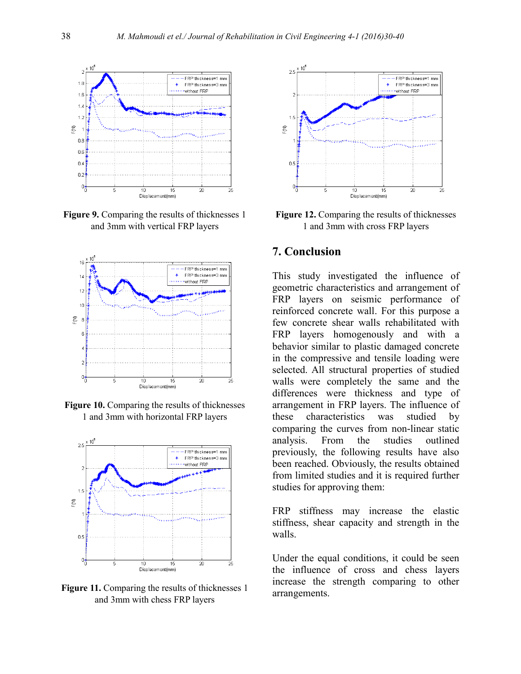

**Figure 9.** Comparing the results of thicknesses 1 and 3mm with vertical FRP layers







**Figure 11.** Comparing the results of thicknesses 1 and 3mm with chess FRP layers



**Figure 12.** Comparing the results of thicknesses 1 and 3mm with cross FRP layers

#### **7. Conclusion**

This study investigated the influence of geometric characteristics and arrangement of FRP layers on seismic performance of reinforced concrete wall. For this purpose a few concrete shear walls rehabilitated with FRP layers homogenously and with a behavior similar to plastic damaged concrete in the compressive and tensile loading were selected. All structural properties of studied walls were completely the same and the differences were thickness and type of arrangement in FRP layers. The influence of these characteristics was studied by comparing the curves from non-linear static analysis. From the studies outlined previously, the following results have also been reached. Obviously, the results obtained from limited studies and it is required further studies for approving them:

FRP stiffness may increase the elastic stiffness, shear capacity and strength in the walls.

Under the equal conditions, it could be seen the influence of cross and chess layers increase the strength comparing to other arrangements.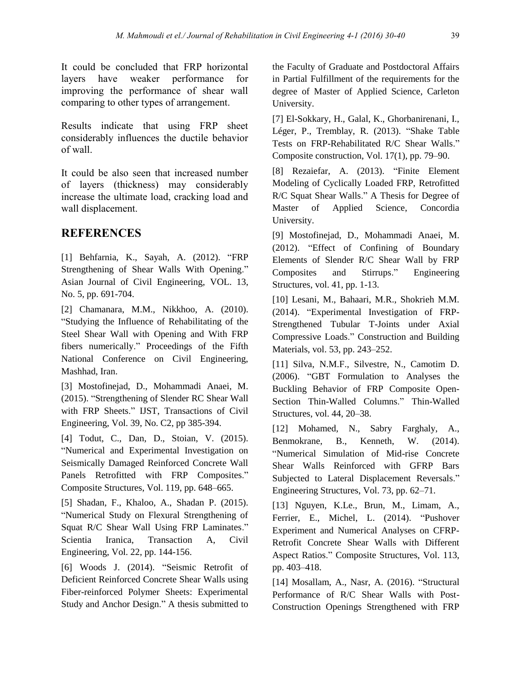It could be concluded that FRP horizontal layers have weaker performance for improving the performance of shear wall comparing to other types of arrangement.

Results indicate that using FRP sheet considerably influences the ductile behavior of wall.

It could be also seen that increased number of layers (thickness) may considerably increase the ultimate load, cracking load and wall displacement.

#### **REFERENCES**

[1] Behfarnia, K., Sayah, A. (2012). "FRP Strengthening of Shear Walls With Opening." Asian Journal of Civil Engineering, VOL. 13, No. 5, pp. 691-704.

[2] Chamanara, M.M., Nikkhoo, A. (2010). "Studying the Influence of Rehabilitating of the Steel Shear Wall with Opening and With FRP fibers numerically." Proceedings of the Fifth National Conference on Civil Engineering, Mashhad, Iran.

[3] Mostofinejad, D., Mohammadi Anaei, M. (2015). "Strengthening of Slender RC Shear Wall with FRP Sheets." IJST, Transactions of Civil Engineering, Vol. 39, No. C2, pp 385-394.

[4] Todut, C., Dan, D., Stoian, V. (2015). "Numerical and Experimental Investigation on Seismically Damaged Reinforced Concrete Wall Panels Retrofitted with FRP Composites." Composite Structures, Vol. 119, pp. 648–665.

[5] Shadan, F., Khaloo, A., Shadan P. (2015). "Numerical Study on Flexural Strengthening of Squat R/C Shear Wall Using FRP Laminates." Scientia Iranica, Transaction A, Civil Engineering, Vol. 22, pp. 144-156.

[6] Woods J. (2014). "Seismic Retrofit of Deficient Reinforced Concrete Shear Walls using Fiber-reinforced Polymer Sheets: Experimental Study and Anchor Design." A thesis submitted to

the Faculty of Graduate and Postdoctoral Affairs in Partial Fulfillment of the requirements for the degree of Master of Applied Science, Carleton University.

[7] El-Sokkary, H., Galal, K., Ghorbanirenani, I., Léger, P., Tremblay, R. (2013). "Shake Table Tests on FRP-Rehabilitated R/C Shear Walls." Composite construction, Vol. 17(1), pp. 79–90.

[8] Rezaiefar, A. (2013). "Finite Element Modeling of Cyclically Loaded FRP, Retrofitted R/C Squat Shear Walls." A Thesis for Degree of Master of Applied Science, Concordia University.

[9] Mostofinejad, D., Mohammadi Anaei, M. (2012). "Effect of Confining of Boundary Elements of Slender R/C Shear Wall by FRP Composites and Stirrups." Engineering Structures, vol. 41, pp. 1-13.

[10] Lesani, M., Bahaari, M.R., Shokrieh M.M. (2014). "Experimental Investigation of FRP-Strengthened Tubular T-Joints under Axial Compressive Loads." Construction and Building Materials, vol. 53, pp. 243–252.

[11] Silva, N.M.F., Silvestre, N., Camotim D. (2006). "GBT Formulation to Analyses the Buckling Behavior of FRP Composite Open-Section Thin-Walled Columns." Thin-Walled Structures, vol. 44, 20–38.

[12] Mohamed, N., Sabry Farghaly, A., Benmokrane, B., Kenneth, W. (2014). "Numerical Simulation of Mid-rise Concrete Shear Walls Reinforced with GFRP Bars Subjected to Lateral Displacement Reversals." Engineering Structures, Vol. 73, pp. 62–71.

[13] Nguyen, K.Le., Brun, M., Limam, A., Ferrier, E., Michel, L. (2014). "Pushover Experiment and Numerical Analyses on CFRP-Retrofit Concrete Shear Walls with Different Aspect Ratios." Composite Structures, Vol. 113, pp. 403–418.

[14] Mosallam, A., Nasr, A. (2016). "Structural Performance of R/C Shear Walls with Post-Construction Openings Strengthened with FRP